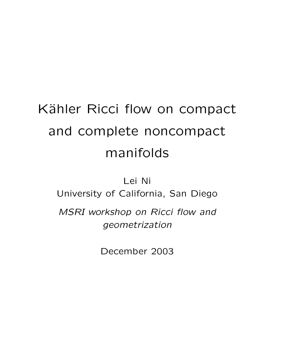# Kähler Ricci flow on compact and complete noncompact manifolds

Lei Ni

University of California, San Diego

*MSRI workshop on Ricci flow and geometrization*

December 2003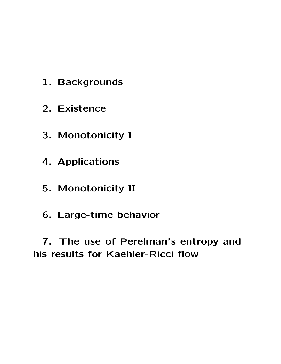- **1. Backgrounds**
- **2. Existence**
- **3. Monotonicity I**
- **4. Applications**
- **5. Monotonicity II**
- **6. Large-time behavior**

**7. The use of Perelman's entropy and his results for Kaehler-Ricci flow**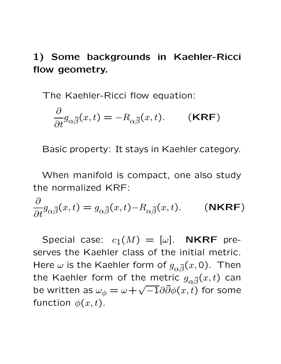## **1) Some backgrounds in Kaehler-Ricci flow geometry.**

The Kaehler-Ricci flow equation:

$$
\frac{\partial}{\partial t}g_{\alpha\overline{\beta}}(x,t) = -R_{\alpha\overline{\beta}}(x,t). \qquad (KRF)
$$

Basic property: It stays in Kaehler category.

When manifold is compact, one also study the normalized KRF:

$$
\frac{\partial}{\partial t}g_{\alpha\overline{\beta}}(x,t) = g_{\alpha\overline{\beta}}(x,t) - R_{\alpha\overline{\beta}}(x,t). \qquad (\text{NKRF})
$$

Special case:  $c_1(M)=[\omega]$ . **NKRF** preserves the Kaehler class of the initial metric. Here  $\omega$  is the Kaehler form of  $g_{\alpha\bar{\beta}}(x,0)$ . Then the Kaehler form of the metric  $g_{\alpha \bar{\beta}}(x,t)$  can be written as  $\omega_{\phi} = \omega + \sqrt{-1} \partial \bar{\partial} \phi(x, t)$  for some function  $\phi(x,t)$ .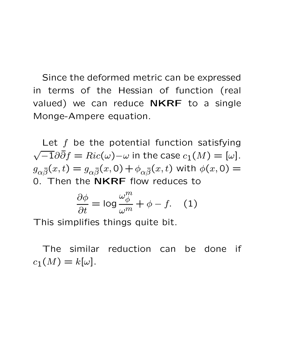Since the deformed metric can be expressed in terms of the Hessian of function (real valued) we can reduce **NKRF** to a single Monge-Ampere equation.

Let  $f$  be the potential function satisfying  $\sqrt{-1}\partial\bar{\partial}f=Ric(\omega)-\omega$  in the case  $c_1(M)=[\omega]$ .  $g_{\alpha \bar{\beta}}(x,t) = g_{\alpha \bar{\beta}}(x,0) + \phi_{\alpha \bar{\beta}}(x,t)$  with  $\phi(x,0) =$ 0. Then the **NKRF** flow reduces to

$$
\frac{\partial \phi}{\partial t} = \log \frac{\omega_{\phi}^{m}}{\omega^{m}} + \phi - f. \quad (1)
$$

This simplifies things quite bit.

The similar reduction can be done if  $c_1(M) = k[\omega]$ .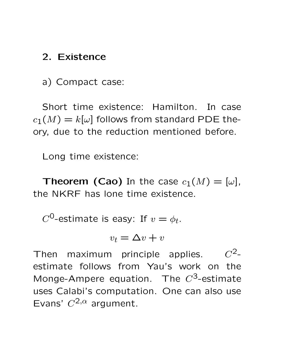### **2. Existence**

a) Compact case:

Short time existence: Hamilton. In case  $c_1(M) = k[\omega]$  follows from standard PDE theory, due to the reduction mentioned before.

Long time existence:

**Theorem (Cao)** In the case  $c_1(M)=[\omega]$ , the NKRF has lone time existence.

 $C^0$ -estimate is easy: If  $v = \phi_t$ .

$$
v_t = \Delta v + v
$$

Then maximum principle applies.  $C^2$ estimate follows from Yau's work on the Monge-Ampere equation. The  $C^3$ -estimate uses Calabi's computation. One can also use Evans'  $C^{2,\alpha}$  argument.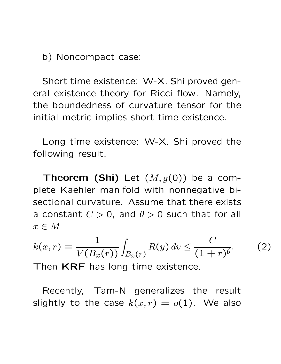b) Noncompact case:

Short time existence: W-X. Shi proved general existence theory for Ricci flow. Namely, the boundedness of curvature tensor for the initial metric implies short time existence.

Long time existence: W-X. Shi proved the following result.

**Theorem (Shi)** Let  $(M, g(0))$  be a complete Kaehler manifold with nonnegative bisectional curvature. Assume that there exists a constant  $C > 0$ , and  $\theta > 0$  such that for all  $x \in M$ 

$$
k(x,r) = \frac{1}{V(B_x(r))} \int_{B_x(r)} R(y) \, dv \le \frac{C}{(1+r)^{\theta}}.\tag{2}
$$

Then **KRF** has long time existence.

Recently, Tam-N generalizes the result slightly to the case  $k(x, r) = o(1)$ . We also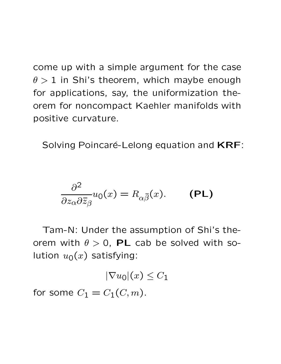come up with a simple argument for the case  $\theta > 1$  in Shi's theorem, which maybe enough for applications, say, the uniformization theorem for noncompact Kaehler manifolds with positive curvature.

Solving Poincaré-Lelong equation and **KRF**:

$$
\frac{\partial^2}{\partial z_\alpha \partial \overline{z}_\beta} u_0(x) = R_{\alpha \overline{\beta}}(x). \quad (PL)
$$

Tam-N: Under the assumption of Shi's theorem with  $\theta > 0$ , PL cab be solved with solution  $u_0(x)$  satisfying:

 $|\nabla u_0|(x) \leq C_1$ 

for some  $C_1 = C_1(C, m)$ .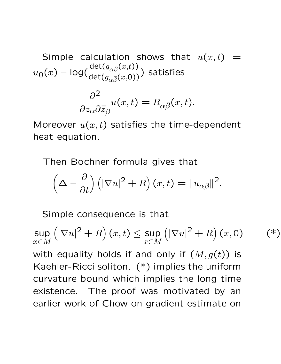Simple calculation shows that 
$$
u(x,t) = u_0(x) - \log(\frac{\det(g_{\alpha\bar{\beta}}(x,t))}{\det(g_{\alpha\bar{\beta}}(x,0))})
$$
 satisfies

$$
\frac{\partial^2}{\partial z_{\alpha} \partial \bar{z}_{\beta}} u(x, t) = R_{\alpha \bar{\beta}}(x, t).
$$

Moreover  $u(x, t)$  satisfies the time-dependent heat equation.

Then Bochner formula gives that

$$
\left(\Delta - \frac{\partial}{\partial t}\right) \left( |\nabla u|^2 + R \right) (x, t) = \|u_{\alpha\beta}\|^2.
$$

Simple consequence is that

$$
\sup_{x \in M} \left( |\nabla u|^2 + R \right)(x, t) \le \sup_{x \in M} \left( |\nabla u|^2 + R \right)(x, 0)
$$

 $(\ast)$ 

with equality holds if and only if  $(M, g(t))$  is Kaehler-Ricci soliton. (\*) implies the uniform curvature bound which implies the long time existence. The proof was motivated by an earlier work of Chow on gradient estimate on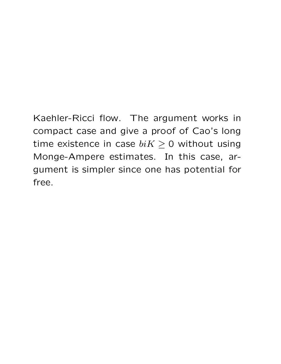Kaehler-Ricci flow. The argument works in compact case and give a proof of Cao's long time existence in case  $biK \geq 0$  without using Monge-Ampere estimates. In this case, argument is simpler since one has potential for free.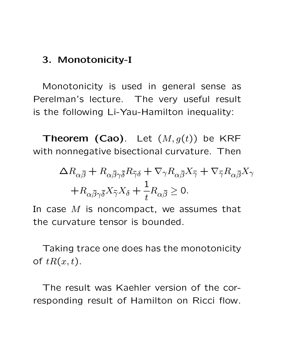#### **3. Monotonicity-I**

Monotonicity is used in general sense as Perelman's lecture. The very useful result is the following Li-Yau-Hamilton inequality:

**Theorem (Cao)**. Let  $(M, g(t))$  be KRF with nonnegative bisectional curvature. Then

$$
\Delta R_{\alpha\overline{\beta}} + R_{\alpha\overline{\beta}\gamma\overline{\delta}} R_{\overline{\gamma}\delta} + \nabla_{\gamma} R_{\alpha\overline{\beta}} X_{\overline{\gamma}} + \nabla_{\overline{\gamma}} R_{\alpha\overline{\beta}} X_{\gamma}
$$

$$
+ R_{\alpha\overline{\beta}\gamma\overline{\delta}} X_{\overline{\gamma}} X_{\delta} + \frac{1}{t} R_{\alpha\overline{\beta}} \ge 0.
$$

In case  $M$  is noncompact, we assumes that the curvature tensor is bounded.

Taking trace one does has the monotonicity of  $tR(x,t)$ .

The result was Kaehler version of the corresponding result of Hamilton on Ricci flow.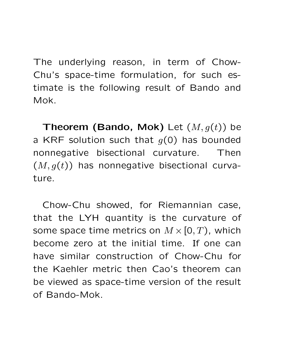The underlying reason, in term of Chow-Chu's space-time formulation, for such estimate is the following result of Bando and Mok.

**Theorem (Bando, Mok)** Let  $(M, g(t))$  be a KRF solution such that  $g(0)$  has bounded nonnegative bisectional curvature. Then  $(M, g(t))$  has nonnegative bisectional curvature.

Chow-Chu showed, for Riemannian case, that the LYH quantity is the curvature of some space time metrics on  $M \times [0, T)$ , which become zero at the initial time. If one can have similar construction of Chow-Chu for the Kaehler metric then Cao's theorem can be viewed as space-time version of the result of Bando-Mok.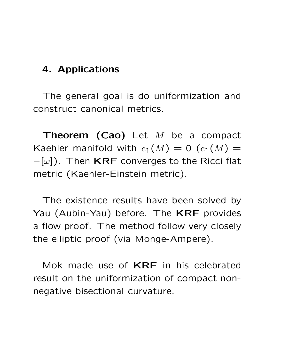#### **4. Applications**

The general goal is do uniformization and construct canonical metrics.

**Theorem (Cao)** Let M be a compact Kaehler manifold with  $c_1(M)=0$   $(c_1(M))$  = −[ω]). Then **KRF** converges to the Ricci flat metric (Kaehler-Einstein metric).

The existence results have been solved by Yau (Aubin-Yau) before. The **KRF** provides a flow proof. The method follow very closely the elliptic proof (via Monge-Ampere).

Mok made use of **KRF** in his celebrated result on the uniformization of compact nonnegative bisectional curvature.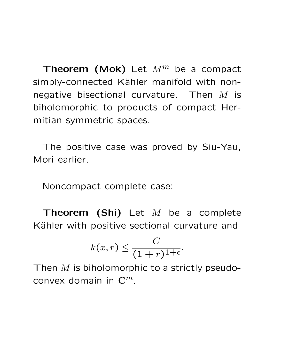**Theorem (Mok)** Let  $M^m$  be a compact simply-connected Kähler manifold with nonnegative bisectional curvature. Then  $M$  is biholomorphic to products of compact Hermitian symmetric spaces.

The positive case was proved by Siu-Yau, Mori earlier.

Noncompact complete case:

**Theorem (Shi)** Let M be a complete Kähler with positive sectional curvature and

$$
k(x,r) \leq \frac{C}{(1+r)^{1+\epsilon}}.
$$

Then  $M$  is biholomorphic to a strictly pseudoconvex domain in **C**m.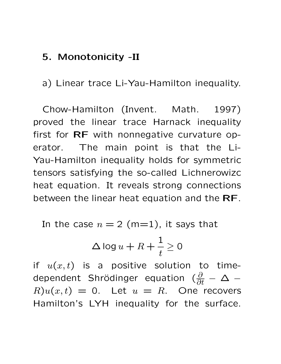#### **5. Monotonicity -II**

a) Linear trace Li-Yau-Hamilton inequality.

Chow-Hamilton (Invent. Math. 1997) proved the linear trace Harnack inequality first for **RF** with nonnegative curvature operator. The main point is that the Li-Yau-Hamilton inequality holds for symmetric tensors satisfying the so-called Lichnerowizc heat equation. It reveals strong connections between the linear heat equation and the **RF**.

In the case  $n = 2$  (m=1), it says that

$$
\Delta \log u + R + \frac{1}{t} \ge 0
$$

if  $u(x,t)$  is a positive solution to timedependent Shrödinger equation ( $\frac{\partial}{\partial t}-\Delta$  –  $R)u(x,t) = 0$ . Let  $u = R$ . One recovers Hamilton's LYH inequality for the surface.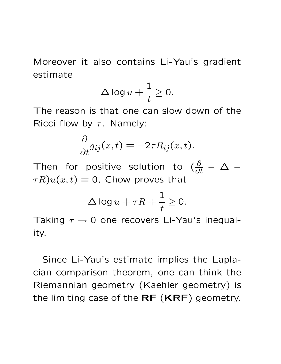Moreover it also contains Li-Yau's gradient estimate

$$
\Delta \log u + \frac{1}{t} \ge 0.
$$

The reason is that one can slow down of the Ricci flow by  $\tau$ . Namely:

$$
\frac{\partial}{\partial t}g_{ij}(x,t) = -2\tau R_{ij}(x,t).
$$

Then for positive solution to  $(\frac{\partial}{\partial t} - \Delta \tau R u(x,t) = 0$ , Chow proves that

$$
\Delta \log u + \tau R + \frac{1}{t} \ge 0.
$$

Taking  $\tau \rightarrow 0$  one recovers Li-Yau's inequality.

Since Li-Yau's estimate implies the Laplacian comparison theorem, one can think the Riemannian geometry (Kaehler geometry) is the limiting case of the **RF** (**KRF**) geometry.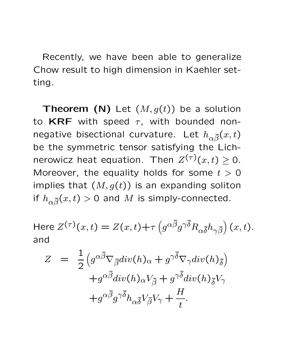Recently, we have been able to generalize Chow result to high dimension in Kaehler setting.

**Theorem (N)** Let  $(M, g(t))$  be a solution to  $KRF$  with speed  $\tau$ , with bounded nonnegative bisectional curvature. Let  $h_{\alpha\bar{\beta}}(x,t)$ be the symmetric tensor satisfying the Lichnerowicz heat equation. Then  $Z^{(\tau)}(x,t) \geq 0$ . Moreover, the equality holds for some  $t > 0$ implies that  $(M, g(t))$  is an expanding soliton if  $h_{\alpha\bar{\beta}}(x,t) > 0$  and  $M$  is simply-connected.

Here 
$$
Z^{(\tau)}(x,t) = Z(x,t) + \tau \left( g^{\alpha \overline{\beta}} g^{\gamma \overline{\delta}} R_{\alpha \overline{\delta}} h_{\gamma \overline{\beta}} \right)(x,t)
$$
.  
and

$$
Z = \frac{1}{2} \left( g^{\alpha \overline{\beta}} \nabla_{\overline{\beta}} \text{div}(h)_{\alpha} + g^{\gamma \overline{\delta}} \nabla_{\gamma} \text{div}(h)_{\overline{\delta}} \right) + g^{\alpha \overline{\beta}} \text{div}(h)_{\alpha} V_{\overline{\beta}} + g^{\gamma \overline{\delta}} \text{div}(h)_{\overline{\delta}} V_{\gamma} + g^{\alpha \overline{\beta}} g^{\gamma \overline{\delta}} h_{\alpha \overline{\delta}} V_{\overline{\beta}} V_{\gamma} + \frac{H}{t}.
$$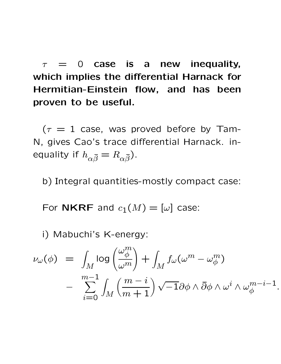$\tau = 0$  case is a new inequality, **which implies the differential Harnack for Hermitian-Einstein flow, and has been proven to be useful.**

 $(\tau = 1$  case, was proved before by Tam-N, gives Cao's trace differential Harnack. inequality if  $h_{\alpha \bar{\beta}} = R_{\alpha \bar{\beta}}$ ).

b) Integral quantities-mostly compact case:

For **NKRF** and  $c_1(M)=[\omega]$  case:

i) Mabuchi's K-energy:

$$
\nu_{\omega}(\phi) = \int_{M} \log \left( \frac{\omega_{\phi}^{m}}{\omega^{m}} \right) + \int_{M} f_{\omega}(\omega^{m} - \omega_{\phi}^{m})
$$

$$
- \sum_{i=0}^{m-1} \int_{M} \left( \frac{m-i}{m+1} \right) \sqrt{-1} \partial \phi \wedge \overline{\partial} \phi \wedge \omega^{i} \wedge \omega_{\phi}^{m-i-1}.
$$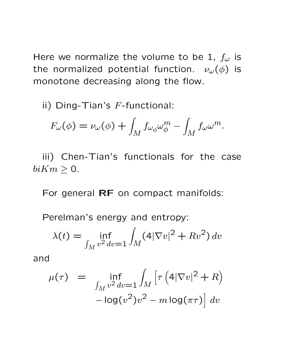Here we normalize the volume to be 1,  $f_{\omega}$  is the normalized potential function.  $\nu_{\omega}(\phi)$  is monotone decreasing along the flow.

ii) Ding-Tian's  $F$ -functional:

$$
F_{\omega}(\phi) = \nu_{\omega}(\phi) + \int_M f_{\omega_{\phi}} \omega_{\phi}^m - \int_M f_{\omega} \omega^m.
$$

iii) Chen-Tian's functionals for the case  $biKm \geq 0.$ 

For general **RF** on compact manifolds:

Perelman's energy and entropy:

$$
\lambda(t) = \inf_{\int_M v^2 dv = 1} \int_M (4|\nabla v|^2 + Rv^2) dv
$$

and

$$
\mu(\tau) = \inf_{\int_M v^2 dv = 1} \int_M \left[ \tau \left( 4|\nabla v|^2 + R \right) - \log(v^2) v^2 - m \log(\pi \tau) \right] dv
$$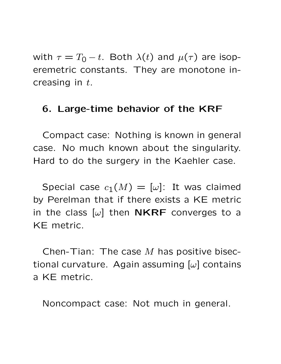with  $\tau = T_0 - t$ . Both  $\lambda(t)$  and  $\mu(\tau)$  are isoperemetric constants. They are monotone increasing in  $t$ .

#### **6. Large-time behavior of the KRF**

Compact case: Nothing is known in general case. No much known about the singularity. Hard to do the surgery in the Kaehler case.

Special case  $c_1(M)=[\omega]$ : It was claimed by Perelman that if there exists a KE metric in the class  $[\omega]$  then **NKRF** converges to a KE metric.

Chen-Tian: The case  $M$  has positive bisectional curvature. Again assuming  $[\omega]$  contains a KE metric.

Noncompact case: Not much in general.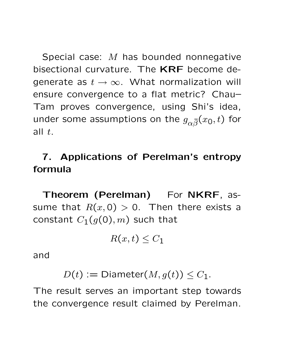Special case: M has bounded nonnegative bisectional curvature. The **KRF** become degenerate as  $t \to \infty$ . What normalization will ensure convergence to a flat metric? Chau– Tam proves convergence, using Shi's idea, under some assumptions on the  $g_{\alpha \bar{\beta}}(x_0,t)$  for all  $t$ .

# **7. Applications of Perelman's entropy formula**

**Theorem (Perelman)** For **NKRF**, assume that  $R(x, 0) > 0$ . Then there exists a constant  $C_1(g(0), m)$  such that

$$
R(x,t) \leq C_1
$$

and

$$
D(t) := \text{Diameter}(M, g(t)) \leq C_1.
$$

The result serves an important step towards the convergence result claimed by Perelman.